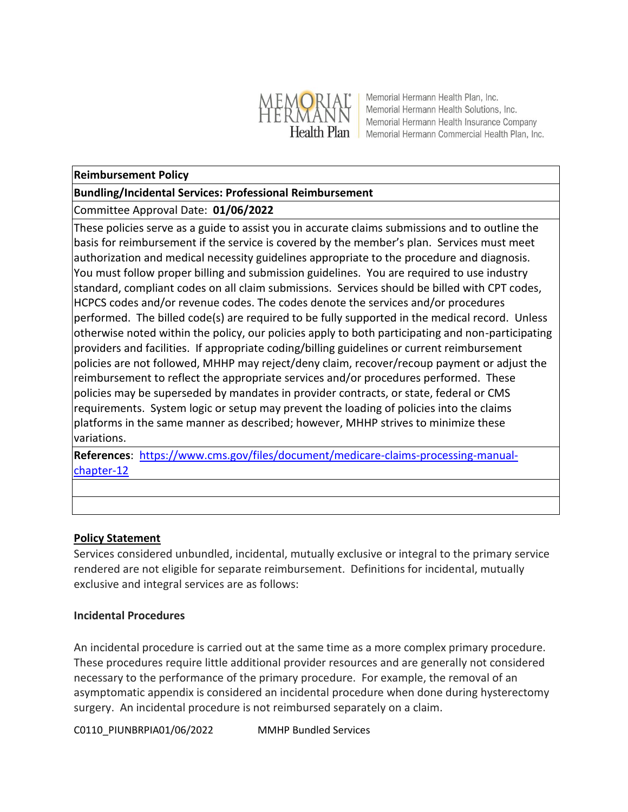

Memorial Hermann Health Plan, Inc. Memorial Hermann Health Solutions, Inc. Memorial Hermann Health Insurance Company Health Plan Memorial Hermann Commercial Health Plan, Inc.

## **Reimbursement Policy**

## **Bundling/Incidental Services: Professional Reimbursement**

# Committee Approval Date: **01/06/2022**

These policies serve as a guide to assist you in accurate claims submissions and to outline the basis for reimbursement if the service is covered by the member's plan. Services must meet authorization and medical necessity guidelines appropriate to the procedure and diagnosis. You must follow proper billing and submission guidelines. You are required to use industry standard, compliant codes on all claim submissions. Services should be billed with CPT codes, HCPCS codes and/or revenue codes. The codes denote the services and/or procedures performed. The billed code(s) are required to be fully supported in the medical record. Unless otherwise noted within the policy, our policies apply to both participating and non-participating providers and facilities. If appropriate coding/billing guidelines or current reimbursement policies are not followed, MHHP may reject/deny claim, recover/recoup payment or adjust the reimbursement to reflect the appropriate services and/or procedures performed. These policies may be superseded by mandates in provider contracts, or state, federal or CMS requirements. System logic or setup may prevent the loading of policies into the claims platforms in the same manner as described; however, MHHP strives to minimize these variations.

**References**: [https://www.cms.gov/files/document/medicare-claims-processing-manual](https://www.cms.gov/files/document/medicare-claims-processing-manual-chapter-12)[chapter-12](https://www.cms.gov/files/document/medicare-claims-processing-manual-chapter-12)

#### **Policy Statement**

Services considered unbundled, incidental, mutually exclusive or integral to the primary service rendered are not eligible for separate reimbursement. Definitions for incidental, mutually exclusive and integral services are as follows:

#### **Incidental Procedures**

An incidental procedure is carried out at the same time as a more complex primary procedure. These procedures require little additional provider resources and are generally not considered necessary to the performance of the primary procedure. For example, the removal of an asymptomatic appendix is considered an incidental procedure when done during hysterectomy surgery. An incidental procedure is not reimbursed separately on a claim.

C0110\_PIUNBRPIA01/06/2022 MMHP Bundled Services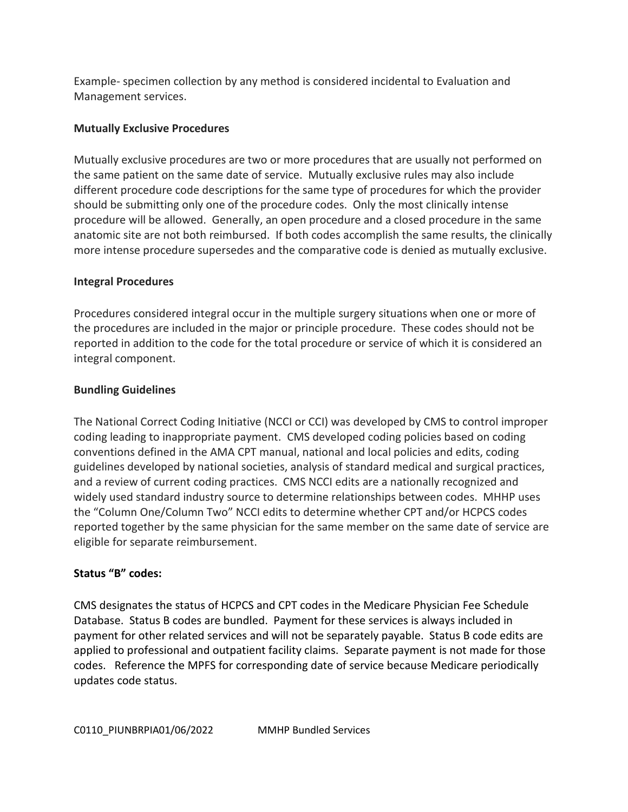Example- specimen collection by any method is considered incidental to Evaluation and Management services.

## **Mutually Exclusive Procedures**

Mutually exclusive procedures are two or more procedures that are usually not performed on the same patient on the same date of service. Mutually exclusive rules may also include different procedure code descriptions for the same type of procedures for which the provider should be submitting only one of the procedure codes. Only the most clinically intense procedure will be allowed. Generally, an open procedure and a closed procedure in the same anatomic site are not both reimbursed. If both codes accomplish the same results, the clinically more intense procedure supersedes and the comparative code is denied as mutually exclusive.

## **Integral Procedures**

Procedures considered integral occur in the multiple surgery situations when one or more of the procedures are included in the major or principle procedure. These codes should not be reported in addition to the code for the total procedure or service of which it is considered an integral component.

## **Bundling Guidelines**

The National Correct Coding Initiative (NCCI or CCI) was developed by CMS to control improper coding leading to inappropriate payment. CMS developed coding policies based on coding conventions defined in the AMA CPT manual, national and local policies and edits, coding guidelines developed by national societies, analysis of standard medical and surgical practices, and a review of current coding practices. CMS NCCI edits are a nationally recognized and widely used standard industry source to determine relationships between codes. MHHP uses the "Column One/Column Two" NCCI edits to determine whether CPT and/or HCPCS codes reported together by the same physician for the same member on the same date of service are eligible for separate reimbursement.

# **Status "B" codes:**

CMS designates the status of HCPCS and CPT codes in the Medicare Physician Fee Schedule Database. Status B codes are bundled. Payment for these services is always included in payment for other related services and will not be separately payable. Status B code edits are applied to professional and outpatient facility claims. Separate payment is not made for those codes. Reference the MPFS for corresponding date of service because Medicare periodically updates code status.